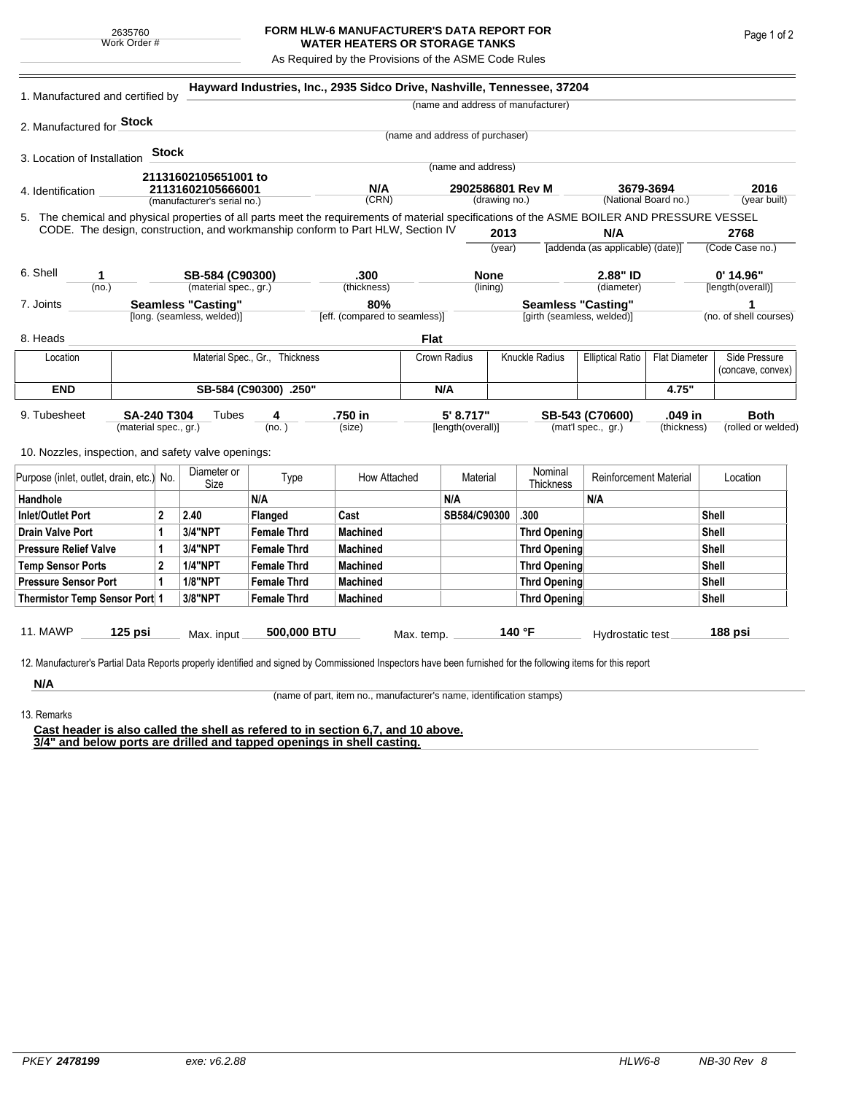## **FORM HLW-6 MANUFACTURER'S DATA REPORT FOR WATER HEATERS OR STORAGE TANKS**

As Required by the Provisions of the ASME Code Rules

| 1. Manufactured and certified by                                                                                                                                                                                                |                                             |              |                             | Hayward Industries, Inc., 2935 Sidco Drive, Nashville, Tennessee, 37204 |                   |                                 |                                |                                                         |                                         |                                                                 |         |                                    |              |
|---------------------------------------------------------------------------------------------------------------------------------------------------------------------------------------------------------------------------------|---------------------------------------------|--------------|-----------------------------|-------------------------------------------------------------------------|-------------------|---------------------------------|--------------------------------|---------------------------------------------------------|-----------------------------------------|-----------------------------------------------------------------|---------|------------------------------------|--------------|
|                                                                                                                                                                                                                                 |                                             |              |                             |                                                                         |                   |                                 |                                |                                                         | (name and address of manufacturer)      |                                                                 |         |                                    |              |
| 2. Manufactured for Stock                                                                                                                                                                                                       |                                             |              |                             |                                                                         |                   |                                 |                                |                                                         |                                         |                                                                 |         |                                    |              |
|                                                                                                                                                                                                                                 |                                             |              |                             |                                                                         |                   | (name and address of purchaser) |                                |                                                         |                                         |                                                                 |         |                                    |              |
| 3. Location of Installation                                                                                                                                                                                                     |                                             | <b>Stock</b> |                             |                                                                         |                   |                                 |                                |                                                         |                                         |                                                                 |         |                                    |              |
|                                                                                                                                                                                                                                 |                                             |              | 21131602105651001 to        |                                                                         |                   |                                 | (name and address)             |                                                         |                                         |                                                                 |         |                                    |              |
| 4. Identification                                                                                                                                                                                                               |                                             |              | 21131602105666001           |                                                                         | N/A               |                                 |                                |                                                         | 2902586801 Rev M                        | 3679-3694<br>(National Board no.)                               |         | 2016                               |              |
|                                                                                                                                                                                                                                 |                                             |              | (manufacturer's serial no.) |                                                                         | (CRN)             |                                 |                                | (drawing no.)                                           |                                         |                                                                 |         |                                    | (year built) |
| 5. The chemical and physical properties of all parts meet the requirements of material specifications of the ASME BOILER AND PRESSURE VESSEL<br>CODE. The design, construction, and workmanship conform to Part HLW, Section IV |                                             |              |                             |                                                                         |                   |                                 |                                |                                                         |                                         |                                                                 |         |                                    |              |
|                                                                                                                                                                                                                                 |                                             |              |                             |                                                                         |                   |                                 | 2013<br>(year)                 |                                                         | N/A<br>[addenda (as applicable) (date)] |                                                                 |         | 2768<br>(Code Case no.)            |              |
|                                                                                                                                                                                                                                 |                                             |              |                             |                                                                         |                   |                                 |                                |                                                         |                                         |                                                                 |         |                                    |              |
| 6. Shell<br>1                                                                                                                                                                                                                   |                                             |              | SB-584 (C90300)             |                                                                         | .300              |                                 | <b>None</b>                    |                                                         | 2.88" ID                                |                                                                 |         | $0'$ 14.96"                        |              |
| (no.)                                                                                                                                                                                                                           |                                             |              | (material spec., gr.)       |                                                                         | (thickness)       |                                 | (lining)                       |                                                         |                                         | (diameter)                                                      |         | [length(overall)]                  |              |
| <b>Seamless "Casting"</b><br>7. Joints                                                                                                                                                                                          |                                             |              |                             | 80%<br>[eff. (compared to seamless)]                                    |                   |                                 |                                | <b>Seamless "Casting"</b><br>[girth (seamless, welded)] |                                         |                                                                 |         | 1<br>(no. of shell courses)        |              |
|                                                                                                                                                                                                                                 |                                             |              | [long. (seamless, welded)]  |                                                                         |                   |                                 |                                |                                                         |                                         |                                                                 |         |                                    |              |
| 8. Heads                                                                                                                                                                                                                        |                                             |              |                             |                                                                         |                   | <b>Flat</b>                     |                                |                                                         |                                         |                                                                 |         |                                    |              |
| Location                                                                                                                                                                                                                        | Material Spec., Gr., Thickness              |              |                             |                                                                         | Crown Radius      |                                 |                                | Knuckle Radius                                          |                                         | <b>Flat Diameter</b><br><b>Elliptical Ratio</b>                 |         | Side Pressure<br>(concave, convex) |              |
| <b>END</b>                                                                                                                                                                                                                      | SB-584 (C90300) .250"                       |              |                             |                                                                         | N/A               |                                 |                                |                                                         |                                         | 4.75"                                                           |         |                                    |              |
| 9. Tubesheet                                                                                                                                                                                                                    | <b>SA-240 T304</b><br>(material spec., gr.) |              |                             | 4<br>(no.)                                                              | .750 in<br>(size) |                                 | 5' 8.717"<br>[length(overall)] |                                                         |                                         | .049 in<br>SB-543 (C70600)<br>(mat'l spec., gr.)<br>(thickness) |         | <b>Both</b><br>(rolled or welded)  |              |
|                                                                                                                                                                                                                                 |                                             |              |                             |                                                                         |                   |                                 |                                |                                                         |                                         |                                                                 |         |                                    |              |
| 10. Nozzles, inspection, and safety valve openings:                                                                                                                                                                             |                                             |              |                             |                                                                         |                   |                                 |                                |                                                         |                                         |                                                                 |         |                                    |              |
| Purpose (inlet, outlet, drain, etc.) No.                                                                                                                                                                                        |                                             |              | Diameter or<br>Size         | Type                                                                    | How Attached      |                                 | Material                       |                                                         | Nominal<br><b>Thickness</b>             | <b>Reinforcement Material</b>                                   |         | Location                           |              |
| Handhole                                                                                                                                                                                                                        |                                             |              |                             | N/A                                                                     |                   |                                 | N/A                            |                                                         |                                         | N/A                                                             |         |                                    |              |
| <b>Inlet/Outlet Port</b><br>2                                                                                                                                                                                                   |                                             |              | 2.40                        | Flanged                                                                 | Cast              |                                 | SB584/C90300                   |                                                         | .300                                    |                                                                 |         | Shell                              |              |
| <b>Drain Valve Port</b><br>1                                                                                                                                                                                                    |                                             |              | 3/4"NPT                     | <b>Female Thrd</b>                                                      | <b>Machined</b>   |                                 |                                |                                                         | <b>Thrd Opening</b>                     |                                                                 |         | Shell                              |              |
| <b>Pressure Relief Valve</b>                                                                                                                                                                                                    |                                             | 1            | 3/4"NPT                     | <b>Female Thrd</b>                                                      | <b>Machined</b>   |                                 |                                |                                                         | <b>Thrd Opening</b>                     |                                                                 |         | Shell                              |              |
| $\overline{2}$<br><b>Temp Sensor Ports</b>                                                                                                                                                                                      |                                             |              | <b>1/4"NPT</b>              | <b>Female Thrd</b>                                                      | <b>Machined</b>   |                                 |                                |                                                         | <b>Thrd Opening</b>                     |                                                                 |         | Shell                              |              |
| <b>Pressure Sensor Port</b>                                                                                                                                                                                                     |                                             | 1            | <b>1/8"NPT</b>              | <b>Female Thrd</b>                                                      | <b>Machined</b>   |                                 |                                |                                                         | <b>Thrd Opening</b>                     |                                                                 |         | Shell                              |              |
| Thermistor Temp Sensor Port 1                                                                                                                                                                                                   |                                             |              | 3/8"NPT                     | <b>Female Thrd</b>                                                      | <b>Machined</b>   |                                 |                                |                                                         | <b>Thrd Opening</b>                     |                                                                 |         | Shell                              |              |
| <b>11. MAWP</b><br>$125$ psi                                                                                                                                                                                                    |                                             | Max. input   | 500,000 BTU                 |                                                                         | Max. temp.        |                                 |                                | 140 °F                                                  | Hydrostatic test                        |                                                                 | 188 psi |                                    |              |
|                                                                                                                                                                                                                                 |                                             |              |                             |                                                                         |                   |                                 |                                |                                                         |                                         |                                                                 |         |                                    |              |
| 12. Manufacturer's Partial Data Reports properly identified and signed by Commissioned Inspectors have been furnished for the following items for this report                                                                   |                                             |              |                             |                                                                         |                   |                                 |                                |                                                         |                                         |                                                                 |         |                                    |              |
| N/A                                                                                                                                                                                                                             |                                             |              |                             |                                                                         |                   |                                 |                                |                                                         |                                         |                                                                 |         |                                    |              |

(name of part, item no., manufacturer's name, identification stamps)

13. Remarks

**Cast header is also called the shell as refered to in section 6,7, and 10 above. 3/4" and below ports are drilled and tapped openings in shell casting.**